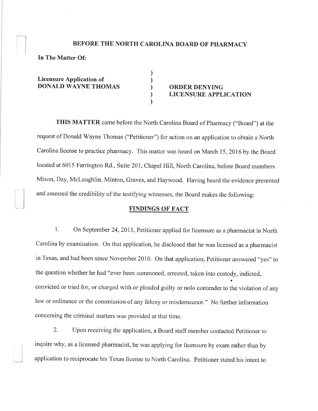# BEFORE THE NORTH CAROLINA BOARD OF PHARMACY

) ) ) ) )

In The Matter 0f:

Licensure Application of DONALD WAYNE THOMAS (a) ORDER DENYING

# LICENSURE APPLICATION

THIS MATTER came before the North Carolina Board of Pharmacy ("Board") at the request of Donald Wayne Thomas ("Petitioner") for action on an application to obtain a North Carolina license to practice pharmacy. This matter was heard on March 15,2016 by the Board located at 6015 Farrington Rd., Suite 201, Chapel Hill, North Carolina, before Board members Mixon, Day, Mclaughlin, Minton, Graves, and Haywood. Having heard the evidence presented and assessed the credibility of the testifying witnesses, the Board makes the following:

### FINDINGS OF FACT

1. On September 24,2015, Petitioner applied for licensure as a pharmacist in North Carolina by examination. On that application, he disclosed that he was licensed as a pharmacist in Texas, and had been since November 2010. On that application, Petitioner answered "yes" to the question whether he had "ever been summoned, arrested, taken into custody, indicted, convicted or tried for, or charged with or pleaded guilty or nolo contender to the violation of any law or ordinance or the commission of any felony or misdemeanor." No further information concerning the criminal matters was provided at that time.

2. Upon receiving the application, a Board staff member contacted Petitioner to inquire why, as a licensed pharmacist, he was applying for licensure by exam rather than by application to reciprocate his Texas license to North Carolina. Petitioner stated his intent to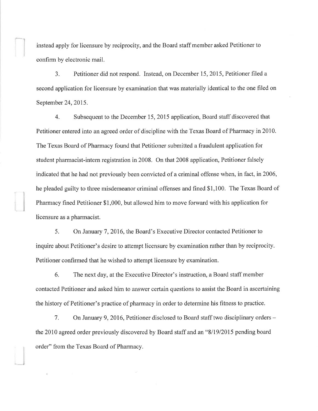instead apply for licensure by reciprocity, and the Board staff member asked Petitioner to confirm by electronic mail.

l

3. Petitioner did not respond. Instead, on December 15, 2015, Petitioner filed <sup>a</sup> second application for licensure by examination that was materially identical to the one filed on September 24,2015.

4. Subsequent to the December 15,2015 application, Board staff discovered that Petitioner entered into an agreed order of discipline with the Texas Board of Pharmacy in 2010. The Texas Board of Pharmacy found that Petitioner submitted a fraudulent application for student pharmacist-intern registration in 2008. On that 2008 application, Petitioner falsely indicated that he had not previously been convicted of a criminal offense when, in fact, in 2006, he pleaded guilty to three misdemeanor criminal offenses and fined \$1,100. The Texas Board of Pharmacy fined Petitioner \$1,000, but allowed him to move forward with his application for licensure as a pharmacist.

5. On January 7, 2016, the Board's Executive Director contacted Petitioner to inquire about Petitioner's desire to attempt licensure by examination rather than by reciprocity. Petitioner confirmed that he wished to attempt licensure by examination.

6. The next day, at the Executive Director's instruction, a Board staff member contacted Petitioner and asked him to answer certain questions to assist the Board in ascertaining the history of Petitioner's practice of pharmacy in order to determine his fitness to practice.

7. On January 9, 2016, Petitioner disclosed to Board staff two disciplinary orders – the 2010 agreed order previously discovered by Board staff and an "8/19/2015 pending board order" from the Texas Board of Pharmacy.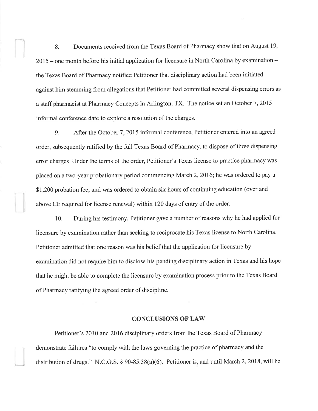8. Documents received from the Texas Board of Pharmacy show that on August 19, 2015 – one month before his initial application for licensure in North Carolina by examination – the Texas Board of Pharmacy notified Petitioner that disciplinary action had been initiated against him stemming from allegations that Petitioner had committed several dispensing errors as a staff pharmacist at Pharmacy Concepts in Arlington, TX. The notice set an October 7,2015 informal conference date to explore a resolution of the charges.

9. After the October 7,2015 informal conference, Petitioner entered into an agreed order, subsequently ratified by the full Texas Board of Pharmacy, to dispose of three dispensing error charges Under the terms of the order, Petitioner's Texas license to practice pharmacy was placed on a two-year probationary period conrmencing March 2,2016; he was ordered to pay a \$1,200 probation fee; and was ordered to obtain six hours of continuing education (over and above CE required for license renewal) within 120 days of entry of the order.

10. During his testimony, Petitioner gave a number of reasons why he had applied for licensure by examination rather than seeking to reciprocate his Texas license to North Carolina. Petitioner admitted that one reason was his belief that the application for licensure by examination did not require him to disclose his pending disciplinary action in Texas and his hope that he might be able to complete the licensure by examination process prior to the Texas Board of Pharmacy ratifying the agreed order of discipline.

#### **CONCLUSIONS OF LAW**

Petitioner's 2010 and 2016 disciplinary orders from the Texas Board of Pharmacy demonstrate failures "to comply with the laws governing the practice of pharmacy and the distribution of drugs." N.C.G.S.  $\S 90-85.38(a)(6)$ . Petitioner is, and until March 2, 2018, will be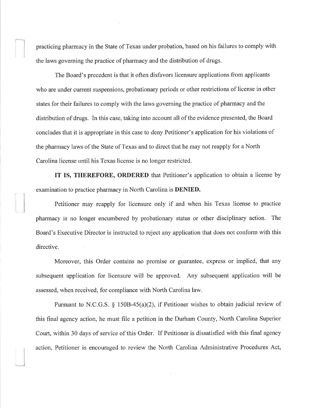practicing pharmacy in the State of Texas under probation, based on his failures to comply with the laws governing the practice of pharmacy and the distribution of drugs.

The Board's precedent is that it often disfavors licensure applications from applicants who are under current suspensions, probationary periods or other restrictions of license in other states for their failures to comply with the laws goveming the practice of pharmacy and the distribution of drugs. In this case, taking into account all of the evidence presented, the Board concludes that it is appropriate in this case to deny Petitioner's application for his violations of the pharmacy laws of the State of Texas and to direct that he may not reapply for a North Carolina license until his Texas license is no longer restricted.

IT IS, THEREFORE, ORDERED that Petitioner's application to obtain a license by examination to practice pharmacy in North Carolina is DENIED.

Petitioner may reapply for licensure only if and when his Texas license to practice pharmacy is no longer encumbered by probationary status or other disciplinary action. The Board's Executive Director is instructed to reject any application that does not conform with this directive.

Moreover, this Order contains no promise or guarantee, express or implied, that any subsequent application for licensure will be approved. Any subsequent application will be assessed, when received, for compliance with North Carolina law.

Pursuant to N.C.G.S. \$ 1508-45(a)(2), if Petitioner wishes to obtain judicial review of this final agency action, he must file a petition in the Durham County, North Carolina Superior Court, within 30 days of service of this Order. If Petitioner is dissatisfied with this final agency action, Petitioner is encouraged to review the North Carolina Administrative Procedures Act,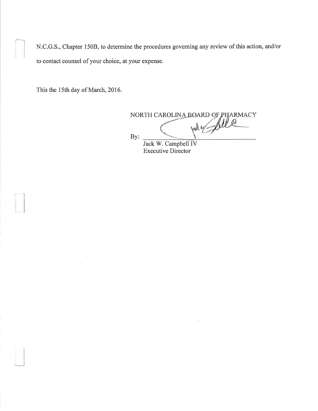N.C.G.S., Chapter 150B, to determine the procedures governing any review of this action, and/or to contact counsel of your choice, at your expense.

This the 15th day of March, 2016.

IJ

J

NORTH CAROLINA BOARD OF PHARMACY By: Jack W. Campbell IV

Executive Director